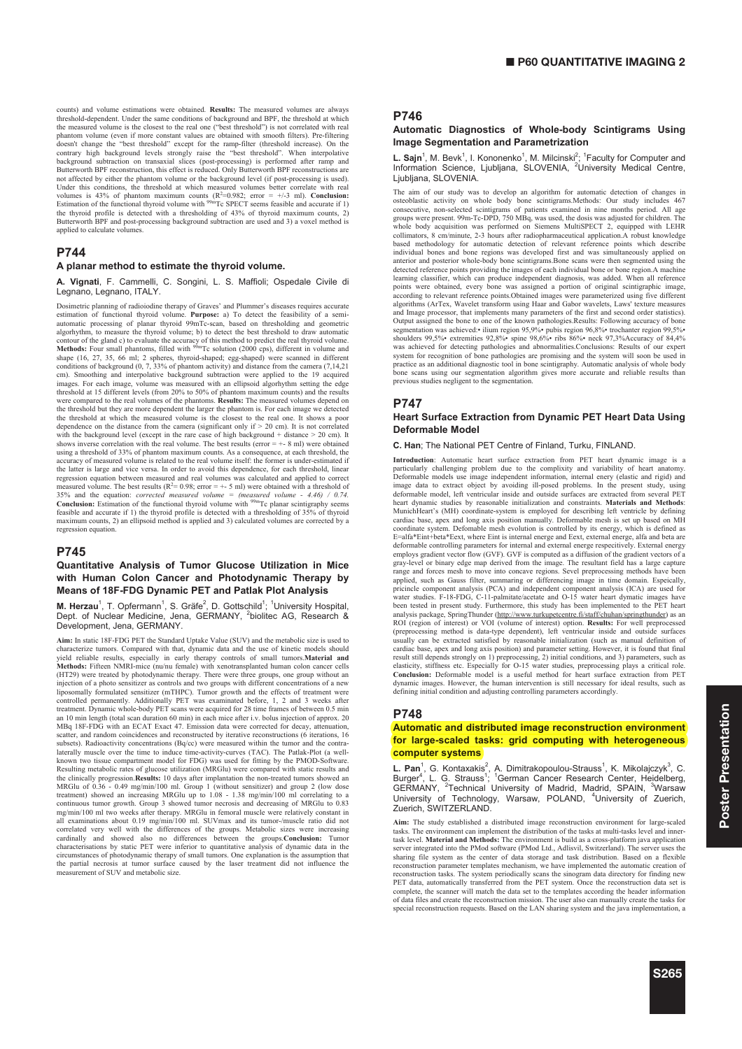counts) and volume estimations were obtained. **Results:** The measured volumes are always threshold-dependent. Under the same conditions of background and BPF, the threshold at which the measured volume is the closest to the real one ("best threshold") is not correlated with real<br>phantom volume (even if more constant values are obtained with smooth filters). Pre-filtering<br>doesn't change the "best thres contrary high background levels strongly raise the "best threshold". When interpolative background subtraction on transaxial slices (post-processing) is performed after ramp and Butterworth BPF reconstruction, this effect is reduced. Only Butterworth BPF reconstructions are not affected by either the phantom volume or the background level (if post-processing is used). Under this conditions, the threshold at which measured volumes better correlate with real volumes is 43% of phantom maximum counts ( $R^2=0.982$ ; error = +/-3 ml). **Conclusion:** Estimation of the functional thyroid volume Butterworth BPF and post-processing background subtraction are used and 3) a voxel method is applied to calculate volum-

### **P744**

#### **A planar method to estimate the thyroid volume.**

**A. Vignati**, F. Cammelli, C. Songini, L. S. Maffioli; Ospedale Civile di Legnano, Legnano, ITALY.

Dosimetric planning of radioiodine therapy of Graves' and Plummer's diseases requires accurate<br>estimation of functional thyroid volume. **Purpose:** a) To detect the feasibility of a semi-<br>automatic processing of planar thyr contour of the gland c) to evaluate the accuracy of this method to predict the real thyroid volume.<br>**Methods:** Four small phantoms, filled with <sup>99m</sup>Tc solution (2000 cps), different in volume and shape (16, 27, 35, 66 ml; 2 spheres, thyroid-shaped; egg-shaped) were scanned in different<br>conditions of background (0, 7, 33% of phantom activity) and distance from the camera (7,14,21<br>cm). Smoothing and interpolative bac images. For each image, volume was measured with an ellipsoid algorhythm setting the edge threshold at 15 different levels (from 20% to 50% of phantom maximum counts) and the results were compared to the real volumes of the phantoms. **Results:** The measured volumes depend on the threshold but they are more dependent the larger the phantom is. For each image we detected the threshold at which the measured volume is the closest to the real one. It shows a poor dependence on the distance from the camera (significant only if  $> 20$  cm). It is not correlated with the background level (except in the rare case of high background + distance > 20 cm). It<br>shows inverse correlation with the real volume. The best results (error = +- 8 ml) were obtained<br>using a threshold of 33% of ph regression equation between measured and real volumes was calculated and applied to correct measured volume. The best results ( $R<sup>2</sup>=0.98$ ; error =  $+$  5 ml) were obtained with a threshold of 35% and the equation: *corrected measured volume = (measured volume - 4.46) / 0.74.* **Conclusion:** Estimation of the functional thyroid volume with  $9^{9m}$ Tc planar scintigraphy seems **CONCIUSION:** ESUIDATION OF THE THIGHOLD HYPOID PROFILE WITH a thresholding of 35% of thyroid feasible and accurate if 1) the thyroid profile is detected with a thresholding of 35% of thyroid maximum counts, 2) an ellipsoid method is applied and 3) calculated volumes are corrected by a regression equation.

# **P745**

### **Quantitative Analysis of Tumor Glucose Utilization in Mice with Human Colon Cancer and Photodynamic Therapy by Means of 18F-FDG Dynamic PET and Patlak Plot Analysis**

M. Herzau<sup>1</sup>, T. Opfermann<sup>1</sup>, S. Gräfe<sup>2</sup>, D. Gottschild<sup>1</sup>; <sup>1</sup>University Hospital, Dept. of Nuclear Medicine, Jena, GERMANY, <sup>2</sup>biolitec AG, Research & Development, Jena, GERMANY.

**Aim:** In static 18F-FDG PET the Standard Uptake Value (SUV) and the metabolic size is used to characterize tumors. Compared with that, dynamic data and the use of kinetic models should<br>yield reliable results, especially in early therapy controls of small tumors.**Material and**<br>**Methods:** Fifteen NMRI-mice (nu/nu fem liposomally formulated sensitizer (mTHPC). Tumor growth and the effects of treatment were controlled permanently. Additionally PET was examinated before, 1, 2 and 3 weeks after<br>treatment. Dynamic whole-body PET scans were acquired for 28 time frames of between 0.5 min<br>an 10 min length (total scan duration 60 mi MBq 18F-FDG with an ECAT Exact 47. Emission data were corrected for decay, attenuation, scatter, and random coincidences and reconstructed by iterative reconstructions (6 iterations, 16 subsets). Radioactivity concentrations (Bq/cc) were measured within the tumor and the contra-laterally muscle over the time to induce time-activity-curves (TAC). The Patlak-Plot (a wellknown two tissue compartment model for FDG) was used for fitting by the PMOD-Software. Resulting metabolic rates of glucose utilization (MRGlu) were compared with static results and the clinically progression. **Results:** 10 days after implantation the non-treated tumors showed an MRGlu of 0.36 - 0.49 mg/min/100 ml. Group 1 (without sensitizer) and group 2 (low dose treatment) showed an increasing MRGl all examinations about 0.19 mg/min/100 ml. SUVmax and its tumor-/muscle ratio did not correlated very well with the differences of the groups. Metabolic sizes were increasing cardinally and showed also no differences betwe circumstances of photodynamic therapy of small tumors. One explanation is the assumption that the partial necrosis at tumor surface caused by the laser treatment did not influence the rement of SUV and metabolic size.

# **P746**

### **Automatic Diagnostics of Whole-body Scintigrams Using Image Segmentation and Parametrization**

L. Sajn<sup>1</sup>, M. Bevk<sup>1</sup>, I. Kononenko<sup>1</sup>, M. Milcinski<sup>2</sup>; <sup>1</sup> Faculty for Computer and Information Science, Ljubljana, SLOVENIA, <sup>2</sup>University Medical Centre, Ljubljana, SLOVENIA.

The aim of our study was to develop an algorithm for automatic detection of changes in osteoblastic activity on whole body bone scintigrams.<br>Methods: Our study includes 467 consecutive, non-selected scintigrams of patients examined in nine months period. All age<br>groups were present. 99m-Tc-DPD, 750 MBq, was anterior and posterior whole-body bone scintigrams.Bone scans were then segmented using the detected reference points providing the images of each individual bone or bone region.A machine learning classifier, which can produce independent diagnosis, was added. When all reference points were obtained, every bone was assigned a portion of original scintigraphic image, according to relevant reference points.Obtained images were parameterized using five different<br>algorithms (ArTex, Wavelet transform using Haar and Gabor wavelets, Laws' texture measures<br>and Image processor, that implements segmentation was achieved:• ilium region 95,9%• pubis region 96,8%• trochanter region 99,5%•<br>shoulders 99,5%• extremities 92,8%• spine 98,6%• ribs 86%• neck 97,3%Accuracy of 84,4%<br>was achieved for detecting pathologies and system for recognition of bone pathologies are promising and the system will soon be used in practice as an additional diagnostic tool in bone scintigraphy. Automatic analysis of whole body bone scans using our segmentation algorithm gives more accurate and reliable results than previous studies negligent to the segmentation.

### **P747**

#### **Heart Surface Extraction from Dynamic PET Heart Data Using Deformable Model**

#### **C. Han**; The National PET Centre of Finland, Turku, FINLAND.

**Introduction**: Automatic heart surface extraction from PET heart dynamic image is a particularly challenging problem due to the complixity and variability of heart anatomy. Deformable models use image independent information, internal enery (elastic and rigid) and image data to extract object by avoiding ill-posed problems. In the present study, using deformable model, left ventricular inside and outside surfaces are extracted from several PET heart dynamic studies by reasonable initialization and constraints. **Materials and Methods**: MunichHeart's (MH) coordinate-system is employed for describing left ventricle by defining cardiac base, apex and long axis position manually. Deformable mesh is set up based on MH coordinate system. Defomable mesh evolution is controlled by its energy, which is defined as E=alfa\*Eint+beta\*Eext, where Eint is internal energe and Eext, external energe, alfa and beta are deformable controlling parameters for internal and external energe respecitively. External energy employs gradient vector flow (GVF). GVF is computed as a diffusion of the gradient vectors of a<br>gray-level or binary edge map derived from the image. The resultant field has a large capture<br>range and forces mesh to move in pricincle component analysis (PCA) and independent component analysis (ICA) are used for water studies. F-18-FDG, C-11-palmitate/acetate and O-15 water heart dymatic images have been tested in present study. Furthermore, this study has been implemented to the PET heart analysis package, SpringThunder (http://www.turkupetcentre.fi/staff/chuhan/springthunder) as an ROI (region of interest) or VOI (volume of interest) option. **Results:** For well preprocessed (preprocessing method is data-type dependent), left ventricular inside and outside surfaces usually can be extracted satisfied by reasonable initialization (such as manual definition of cardiac base, apex and long axis position) and parameter setting. However, it is found that final result still depends strongly on 1) preprocessing, 2) initial conditions, and 3) parameters, such as elasticity, stiffness etc. Especially for O-15 water studies, preprocessing plays a critical role. **Conclusion:** Deformable model is a useful method for heart surface extraction from PET dynamic images. However, the human intervention is still necessary for ideal results, such as defining initial condition and adjusting controlling parameters accordingly.

### **P748**

#### **Automatic and distributed image reconstruction environment for large-scaled tasks: grid computing with heterogeneous computer systems**

L. Pan<sup>1</sup>, G. Kontaxakis<sup>2</sup>, A. Dimitrakopoulou-Strauss<sup>1</sup>, K. Mikolajczyk<sup>3</sup>, C.<br>Burger<sup>4</sup>, L. G. Strauss<sup>1</sup>; <sup>1</sup>German Cancer Research Center, Heidelberg,<br>GERMANY, <sup>2</sup>Technical University of Madrid, Madrid, SPAIN, <sup>3</sup>War University of Technology, Warsaw, POLAND, <sup>4</sup>University of Zuerich, Zuerich, SWITZERLAND.

**Aim:** The study established a distributed image reconstruction environment for large-scaled tasks. The environment can implement the distribution of the tasks at multi-tasks level and inner-task level. **Material and Methods:** The environment is build as a cross-platform java application server integrated into the PMod software (PMod Ltd., Adlisvil, Switzerland). The server uses the sharing file system as the center of data storage and task distribution. Based on a flexible reconstruction parameter templates mechanism, we have implemented the automatic creation of reconstruction tasks. The system periodically scans the sinogram data directory for finding new<br>PET data, automatically transferred from the PET system. Once the reconstruction data set is<br>complete, the scanner will match of data files and create the reconstruction mission. The user also can manually create the tasks for special reconstruction requests. Based on the LAN sharing system and the java implementation, a